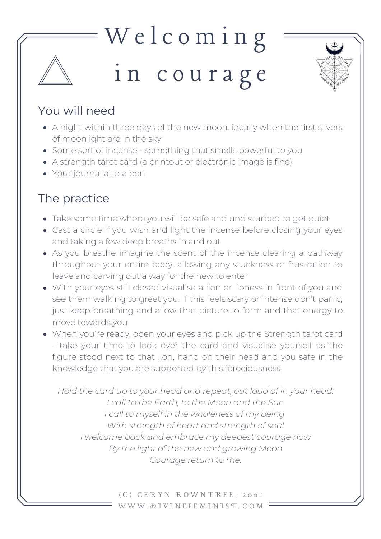## W e l c o m i n g i n c o u r a g e



## You will need

- A night within three days of the new moon, ideally when the first slivers of moonlight are in the sky
- Some sort of incense something that smells powerful to you
- A strength tarot card (a printout or electronic image is fine)
- Your journal and a pen

## The practice

- Take some time where you will be safe and undisturbed to get quiet
- Cast a circle if you wish and light the incense before closing your eyes and taking a few deep breaths in and out
- As you breathe imagine the scent of the incense clearing a pathway throughout your entire body, allowing any stuckness or frustration to leave and carving out a way for the new to enter
- With your eyes still closed visualise a lion or lioness in front of you and see them walking to greet you. If this feels scary or intense don't panic, just keep breathing and allow that picture to form and that energy to move towards you
- When you're ready, open your eyes and pick up the Strength tarot card - take your time to look over the card and visualise yourself as the figure stood next to that lion, hand on their head and you safe in the knowledge that you are supported by this ferociousness

*Hold the card up to your head and repeat, out loud of in your head: I call to the Earth, to the Moon and the Sun I call to myself in the wholeness of my being With strength of heart and strength of soul I welcome back and embrace my deepest courage now By the light of the new and growing Moon Courage return to me.*

> ( C ) C E R Y N R O W N T R E E , 2 0 2 1 W W W . D I V I N E F E M I N I S T . C O M